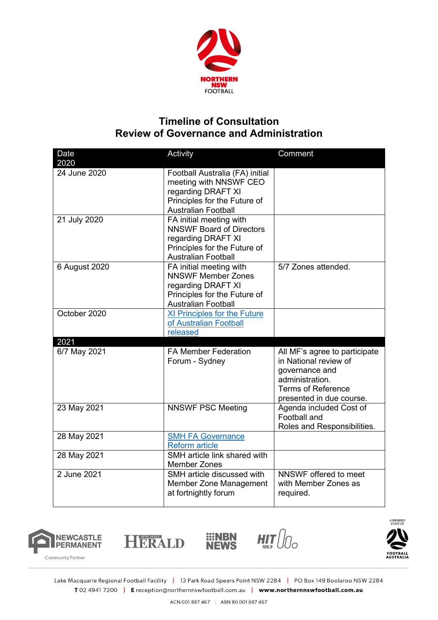

## **Timeline of Consultation Review of Governance and Administration**

| Date<br>2020         | Activity                                                                                                                                       | Comment                                                                                                                                              |
|----------------------|------------------------------------------------------------------------------------------------------------------------------------------------|------------------------------------------------------------------------------------------------------------------------------------------------------|
| 24 June 2020         | Football Australia (FA) initial<br>meeting with NNSWF CEO<br>regarding DRAFT XI<br>Principles for the Future of<br><b>Australian Football</b>  |                                                                                                                                                      |
| 21 July 2020         | FA initial meeting with<br><b>NNSWF Board of Directors</b><br>regarding DRAFT XI<br>Principles for the Future of<br><b>Australian Football</b> |                                                                                                                                                      |
| 6 August 2020        | FA initial meeting with<br><b>NNSWF Member Zones</b><br>regarding DRAFT XI<br>Principles for the Future of<br><b>Australian Football</b>       | 5/7 Zones attended.                                                                                                                                  |
| October 2020         | XI Principles for the Future<br>of Australian Football<br>released                                                                             |                                                                                                                                                      |
| 2021<br>6/7 May 2021 | <b>FA Member Federation</b><br>Forum - Sydney                                                                                                  | All MF's agree to participate<br>in National review of<br>governance and<br>administration.<br><b>Terms of Reference</b><br>presented in due course. |
| 23 May 2021          | <b>NNSWF PSC Meeting</b>                                                                                                                       | Agenda included Cost of<br>Football and<br>Roles and Responsibilities.                                                                               |
| 28 May 2021          | <b>SMH FA Governance</b><br><b>Reform article</b>                                                                                              |                                                                                                                                                      |
| 28 May 2021          | SMH article link shared with<br><b>Member Zones</b>                                                                                            |                                                                                                                                                      |
| 2 June 2021          | SMH article discussed with<br>Member Zone Management<br>at fortnightly forum                                                                   | NNSWF offered to meet<br>with Member Zones as<br>required.                                                                                           |



HERALD





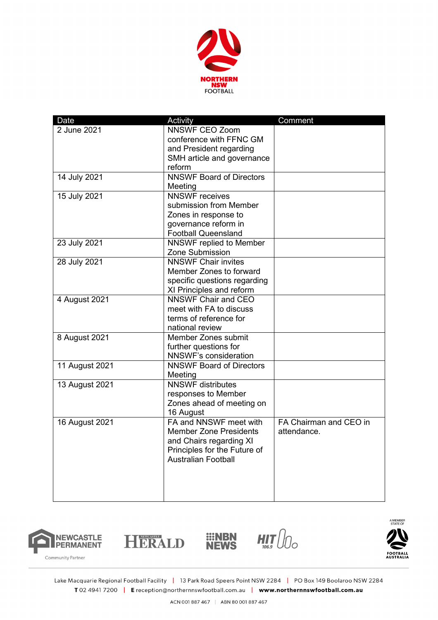

| Date           | Activity                                               | Comment                |
|----------------|--------------------------------------------------------|------------------------|
| 2 June 2021    | <b>NNSWF CEO Zoom</b>                                  |                        |
|                | conference with FFNC GM                                |                        |
|                | and President regarding                                |                        |
|                | SMH article and governance                             |                        |
|                | reform                                                 |                        |
| 14 July 2021   | <b>NNSWF Board of Directors</b>                        |                        |
|                | Meeting                                                |                        |
| 15 July 2021   | <b>NNSWF</b> receives                                  |                        |
|                | submission from Member                                 |                        |
|                | Zones in response to                                   |                        |
|                | governance reform in                                   |                        |
|                | <b>Football Queensland</b>                             |                        |
| 23 July 2021   | <b>NNSWF replied to Member</b>                         |                        |
|                | Zone Submission                                        |                        |
| 28 July 2021   | <b>NNSWF Chair invites</b>                             |                        |
|                | Member Zones to forward                                |                        |
|                | specific questions regarding                           |                        |
|                |                                                        |                        |
|                | XI Principles and reform<br><b>NNSWF Chair and CEO</b> |                        |
| 4 August 2021  |                                                        |                        |
|                | meet with FA to discuss                                |                        |
|                | terms of reference for                                 |                        |
|                | national review                                        |                        |
| 8 August 2021  | Member Zones submit                                    |                        |
|                | further questions for                                  |                        |
|                | <b>NNSWF's consideration</b>                           |                        |
| 11 August 2021 | <b>NNSWF Board of Directors</b>                        |                        |
|                | Meeting                                                |                        |
| 13 August 2021 | <b>NNSWF</b> distributes                               |                        |
|                | responses to Member                                    |                        |
|                | Zones ahead of meeting on                              |                        |
|                | 16 August                                              |                        |
| 16 August 2021 | FA and NNSWF meet with                                 | FA Chairman and CEO in |
|                | <b>Member Zone Presidents</b>                          | attendance.            |
|                | and Chairs regarding XI                                |                        |
|                | Principles for the Future of                           |                        |
|                | <b>Australian Football</b>                             |                        |
|                |                                                        |                        |
|                |                                                        |                        |
|                |                                                        |                        |
|                |                                                        |                        |







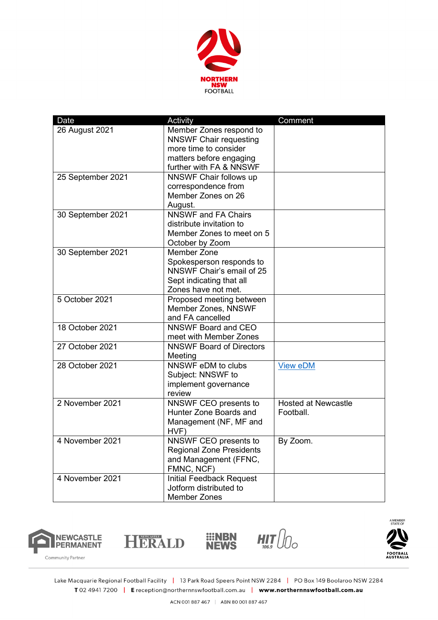

| Date              | <b>Activity</b>                                                                                                                         | Comment                                 |
|-------------------|-----------------------------------------------------------------------------------------------------------------------------------------|-----------------------------------------|
| 26 August 2021    | Member Zones respond to<br><b>NNSWF Chair requesting</b><br>more time to consider<br>matters before engaging<br>further with FA & NNSWF |                                         |
| 25 September 2021 | NNSWF Chair follows up<br>correspondence from<br>Member Zones on 26<br>August.                                                          |                                         |
| 30 September 2021 | <b>NNSWF</b> and FA Chairs<br>distribute invitation to<br>Member Zones to meet on 5<br>October by Zoom                                  |                                         |
| 30 September 2021 | <b>Member Zone</b><br>Spokesperson responds to<br>NNSWF Chair's email of 25<br>Sept indicating that all<br>Zones have not met.          |                                         |
| 5 October 2021    | Proposed meeting between<br><b>Member Zones, NNSWF</b><br>and FA cancelled                                                              |                                         |
| 18 October 2021   | <b>NNSWF Board and CEO</b><br>meet with Member Zones                                                                                    |                                         |
| 27 October 2021   | <b>NNSWF Board of Directors</b><br>Meeting                                                                                              |                                         |
| 28 October 2021   | NNSWF eDM to clubs<br>Subject: NNSWF to<br>implement governance<br>review                                                               | <b>View eDM</b>                         |
| 2 November 2021   | NNSWF CEO presents to<br>Hunter Zone Boards and<br>Management (NF, MF and<br>HVF)                                                       | <b>Hosted at Newcastle</b><br>Football. |
| 4 November 2021   | NNSWF CEO presents to<br><b>Regional Zone Presidents</b><br>and Management (FFNC,<br>FMNC, NCF)                                         | By Zoom.                                |
| 4 November 2021   | <b>Initial Feedback Request</b><br>Jotform distributed to<br>Member Zones                                                               |                                         |







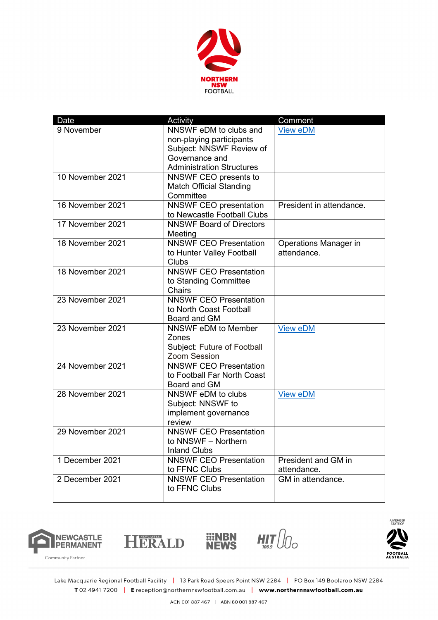

| Date             | Activity                         | Comment                  |
|------------------|----------------------------------|--------------------------|
| 9 November       | NNSWF eDM to clubs and           | <b>View eDM</b>          |
|                  | non-playing participants         |                          |
|                  | Subject: NNSWF Review of         |                          |
|                  | Governance and                   |                          |
|                  | <b>Administration Structures</b> |                          |
| 10 November 2021 | NNSWF CEO presents to            |                          |
|                  | <b>Match Official Standing</b>   |                          |
|                  | Committee                        |                          |
| 16 November 2021 | <b>NNSWF CEO</b> presentation    | President in attendance. |
|                  | to Newcastle Football Clubs      |                          |
| 17 November 2021 | <b>NNSWF Board of Directors</b>  |                          |
|                  | Meeting                          |                          |
| 18 November 2021 | <b>NNSWF CEO Presentation</b>    | Operations Manager in    |
|                  | to Hunter Valley Football        | attendance.              |
|                  | <b>Clubs</b>                     |                          |
| 18 November 2021 | <b>NNSWF CEO Presentation</b>    |                          |
|                  | to Standing Committee            |                          |
|                  | <b>Chairs</b>                    |                          |
| 23 November 2021 | <b>NNSWF CEO Presentation</b>    |                          |
|                  | to North Coast Football          |                          |
|                  | Board and GM                     |                          |
| 23 November 2021 | NNSWF eDM to Member              | <b>View eDM</b>          |
|                  | Zones                            |                          |
|                  | Subject: Future of Football      |                          |
|                  | <b>Zoom Session</b>              |                          |
| 24 November 2021 | <b>NNSWF CEO Presentation</b>    |                          |
|                  | to Football Far North Coast      |                          |
|                  | Board and GM                     |                          |
| 28 November 2021 | NNSWF eDM to clubs               | <b>View eDM</b>          |
|                  | Subject: NNSWF to                |                          |
|                  | implement governance             |                          |
|                  | review                           |                          |
| 29 November 2021 | <b>NNSWF CEO Presentation</b>    |                          |
|                  | to NNSWF - Northern              |                          |
|                  | <b>Inland Clubs</b>              |                          |
| 1 December 2021  | <b>NNSWF CEO Presentation</b>    | President and GM in      |
|                  | to FFNC Clubs                    | attendance.              |
| 2 December 2021  | <b>NNSWF CEO Presentation</b>    | GM in attendance.        |
|                  | to FFNC Clubs                    |                          |
|                  |                                  |                          |







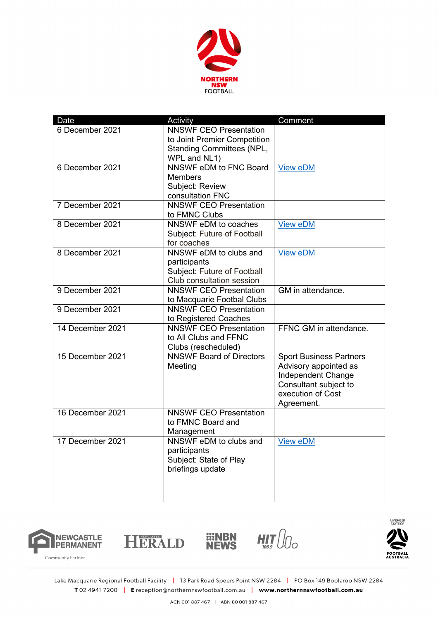

| Date             | Activity                                           | Comment                        |
|------------------|----------------------------------------------------|--------------------------------|
| 6 December 2021  | <b>NNSWF CEO Presentation</b>                      |                                |
|                  | to Joint Premier Competition                       |                                |
|                  | <b>Standing Committees (NPL,</b>                   |                                |
|                  | WPL and NL1)                                       |                                |
| 6 December 2021  | NNSWF eDM to FNC Board                             | <b>View eDM</b>                |
|                  | <b>Members</b>                                     |                                |
|                  | Subject: Review                                    |                                |
|                  | consultation FNC                                   |                                |
| 7 December 2021  | <b>NNSWF CEO Presentation</b>                      |                                |
|                  | to FMNC Clubs                                      |                                |
| 8 December 2021  | NNSWF eDM to coaches                               | <b>View eDM</b>                |
|                  | Subject: Future of Football                        |                                |
|                  | for coaches                                        |                                |
| 8 December 2021  | NNSWF eDM to clubs and                             | <b>View eDM</b>                |
|                  | participants                                       |                                |
|                  | Subject: Future of Football                        |                                |
|                  | Club consultation session                          |                                |
| 9 December 2021  | <b>NNSWF CEO Presentation</b>                      | GM in attendance.              |
|                  | to Macquarie Footbal Clubs                         |                                |
| 9 December 2021  | <b>NNSWF CEO Presentation</b>                      |                                |
|                  | to Registered Coaches                              |                                |
| 14 December 2021 | <b>NNSWF CEO Presentation</b>                      | FFNC GM in attendance.         |
|                  | to All Clubs and FFNC                              |                                |
|                  | Clubs (rescheduled)                                |                                |
| 15 December 2021 | <b>NNSWF Board of Directors</b>                    | <b>Sport Business Partners</b> |
|                  | Meeting                                            | Advisory appointed as          |
|                  |                                                    | Independent Change             |
|                  |                                                    | Consultant subject to          |
|                  |                                                    | execution of Cost              |
|                  |                                                    | Agreement.                     |
| 16 December 2021 | <b>NNSWF CEO Presentation</b><br>to FMNC Board and |                                |
|                  |                                                    |                                |
|                  | Management                                         |                                |
| 17 December 2021 | NNSWF eDM to clubs and                             | <b>View eDM</b>                |
|                  | participants<br>Subject: State of Play             |                                |
|                  | briefings update                                   |                                |
|                  |                                                    |                                |
|                  |                                                    |                                |
|                  |                                                    |                                |
|                  |                                                    |                                |





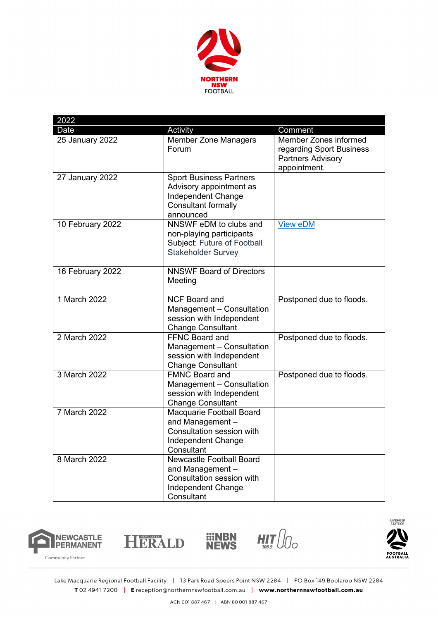

| 2022                |                                                                                                                      |                                                                                               |
|---------------------|----------------------------------------------------------------------------------------------------------------------|-----------------------------------------------------------------------------------------------|
| Date                | Activity                                                                                                             | Comment                                                                                       |
| 25 January 2022     | <b>Member Zone Managers</b><br>Forum                                                                                 | Member Zones informed<br>regarding Sport Business<br><b>Partners Advisory</b><br>appointment. |
| 27 January 2022     | <b>Sport Business Partners</b><br>Advisory appointment as<br>Independent Change<br>Consultant formally<br>announced  |                                                                                               |
| 10 February 2022    | NNSWF eDM to clubs and<br>non-playing participants<br>Subject: Future of Football<br><b>Stakeholder Survey</b>       | <b>View eDM</b>                                                                               |
| 16 February 2022    | <b>NNSWF Board of Directors</b><br>Meeting                                                                           |                                                                                               |
| 1 March 2022        | <b>NCF Board and</b><br>Management - Consultation<br>session with Independent<br><b>Change Consultant</b>            | Postponed due to floods.                                                                      |
| 2 March 2022        | FFNC Board and<br>Management - Consultation<br>session with Independent<br><b>Change Consultant</b>                  | Postponed due to floods.                                                                      |
| 3 March 2022        | <b>FMNC Board and</b><br>Management - Consultation<br>session with Independent<br><b>Change Consultant</b>           | Postponed due to floods.                                                                      |
| <b>7 March 2022</b> | Macquarie Football Board<br>and Management -<br>Consultation session with<br>Independent Change<br>Consultant        |                                                                                               |
| 8 March 2022        | <b>Newcastle Football Board</b><br>and Management -<br>Consultation session with<br>Independent Change<br>Consultant |                                                                                               |





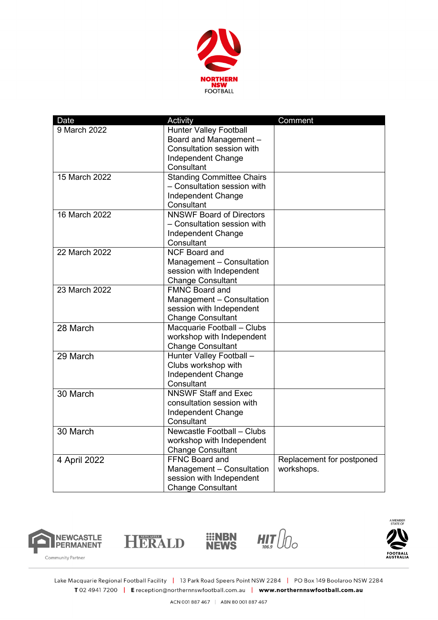

| Date          | Activity                                      | Comment                   |
|---------------|-----------------------------------------------|---------------------------|
| 9 March 2022  | <b>Hunter Valley Football</b>                 |                           |
|               | Board and Management -                        |                           |
|               | Consultation session with                     |                           |
|               | Independent Change                            |                           |
|               | Consultant                                    |                           |
| 15 March 2022 | <b>Standing Committee Chairs</b>              |                           |
|               | - Consultation session with                   |                           |
|               | Independent Change                            |                           |
|               | Consultant<br><b>NNSWF Board of Directors</b> |                           |
| 16 March 2022 |                                               |                           |
|               | - Consultation session with                   |                           |
|               | Independent Change<br>Consultant              |                           |
| 22 March 2022 | <b>NCF Board and</b>                          |                           |
|               | Management - Consultation                     |                           |
|               | session with Independent                      |                           |
|               | <b>Change Consultant</b>                      |                           |
| 23 March 2022 | <b>FMNC Board and</b>                         |                           |
|               | Management - Consultation                     |                           |
|               | session with Independent                      |                           |
|               | <b>Change Consultant</b>                      |                           |
| 28 March      | Macquarie Football - Clubs                    |                           |
|               | workshop with Independent                     |                           |
|               | <b>Change Consultant</b>                      |                           |
| 29 March      | Hunter Valley Football -                      |                           |
|               | Clubs workshop with                           |                           |
|               | Independent Change                            |                           |
|               | Consultant                                    |                           |
| 30 March      | <b>NNSWF Staff and Exec</b>                   |                           |
|               | consultation session with                     |                           |
|               | Independent Change                            |                           |
|               | Consultant                                    |                           |
| 30 March      | Newcastle Football - Clubs                    |                           |
|               | workshop with Independent                     |                           |
|               | <b>Change Consultant</b>                      |                           |
| 4 April 2022  | <b>FFNC Board and</b>                         | Replacement for postponed |
|               | Management - Consultation                     | workshops.                |
|               | session with Independent                      |                           |
|               | <b>Change Consultant</b>                      |                           |